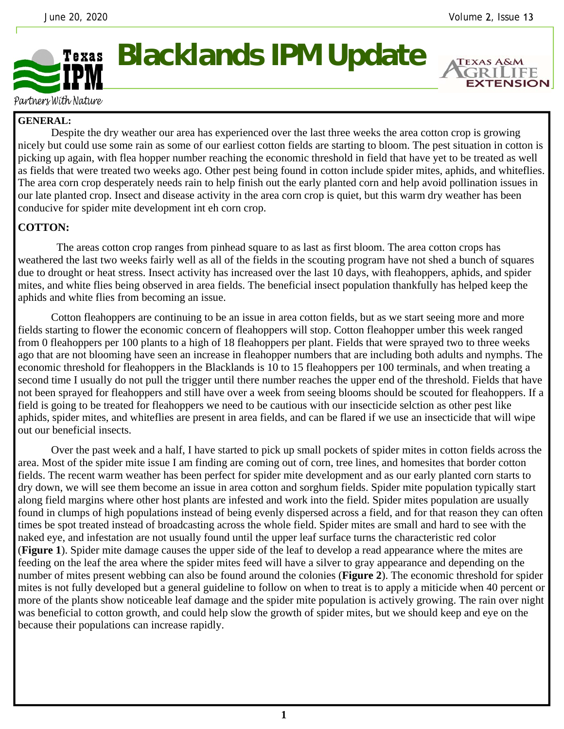**EXTENSION** 



## **Blacklands IPM Update**

Partners With Nature

## **GENERAL:**

 Despite the dry weather our area has experienced over the last three weeks the area cotton crop is growing nicely but could use some rain as some of our earliest cotton fields are starting to bloom. The pest situation in cotton is picking up again, with flea hopper number reaching the economic threshold in field that have yet to be treated as well as fields that were treated two weeks ago. Other pest being found in cotton include spider mites, aphids, and whiteflies. The area corn crop desperately needs rain to help finish out the early planted corn and help avoid pollination issues in our late planted crop. Insect and disease activity in the area corn crop is quiet, but this warm dry weather has been conducive for spider mite development int eh corn crop.

## **COTTON:**

 The areas cotton crop ranges from pinhead square to as last as first bloom. The area cotton crops has weathered the last two weeks fairly well as all of the fields in the scouting program have not shed a bunch of squares due to drought or heat stress. Insect activity has increased over the last 10 days, with fleahoppers, aphids, and spider mites, and white flies being observed in area fields. The beneficial insect population thankfully has helped keep the aphids and white flies from becoming an issue.

 Cotton fleahoppers are continuing to be an issue in area cotton fields, but as we start seeing more and more fields starting to flower the economic concern of fleahoppers will stop. Cotton fleahopper umber this week ranged from 0 fleahoppers per 100 plants to a high of 18 fleahoppers per plant. Fields that were sprayed two to three weeks ago that are not blooming have seen an increase in fleahopper numbers that are including both adults and nymphs. The economic threshold for fleahoppers in the Blacklands is 10 to 15 fleahoppers per 100 terminals, and when treating a second time I usually do not pull the trigger until there number reaches the upper end of the threshold. Fields that have not been sprayed for fleahoppers and still have over a week from seeing blooms should be scouted for fleahoppers. If a field is going to be treated for fleahoppers we need to be cautious with our insecticide selction as other pest like aphids, spider mites, and whiteflies are present in area fields, and can be flared if we use an insecticide that will wipe out our beneficial insects.

 Over the past week and a half, I have started to pick up small pockets of spider mites in cotton fields across the area. Most of the spider mite issue I am finding are coming out of corn, tree lines, and homesites that border cotton fields. The recent warm weather has been perfect for spider mite development and as our early planted corn starts to dry down, we will see them become an issue in area cotton and sorghum fields. Spider mite population typically start along field margins where other host plants are infested and work into the field. Spider mites population are usually found in clumps of high populations instead of being evenly dispersed across a field, and for that reason they can often times be spot treated instead of broadcasting across the whole field. Spider mites are small and hard to see with the naked eye, and infestation are not usually found until the upper leaf surface turns the characteristic red color (**Figure 1**). Spider mite damage causes the upper side of the leaf to develop a read appearance where the mites are feeding on the leaf the area where the spider mites feed will have a silver to gray appearance and depending on the number of mites present webbing can also be found around the colonies (**Figure 2**). The economic threshold for spider mites is not fully developed but a general guideline to follow on when to treat is to apply a miticide when 40 percent or more of the plants show noticeable leaf damage and the spider mite population is actively growing. The rain over night was beneficial to cotton growth, and could help slow the growth of spider mites, but we should keep and eye on the because their populations can increase rapidly.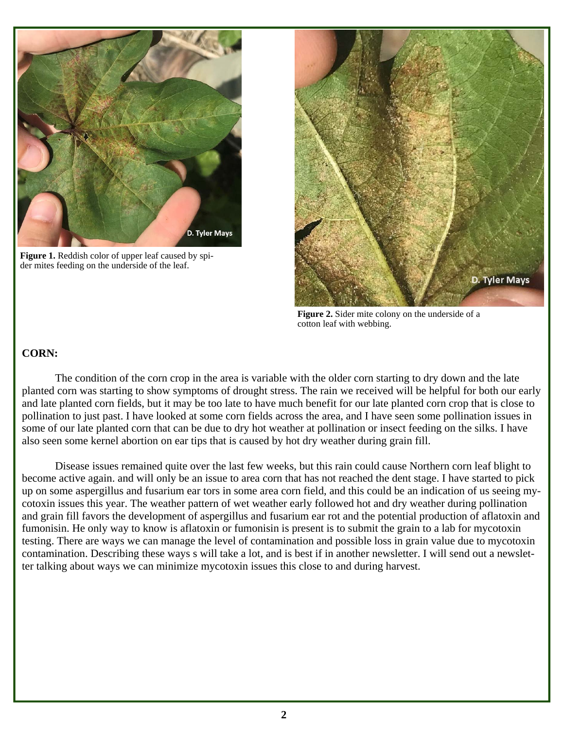

**Figure 1.** Reddish color of upper leaf caused by spider mites feeding on the underside of the leaf.



**Figure 2.** Sider mite colony on the underside of a cotton leaf with webbing.

## **CORN:**

 The condition of the corn crop in the area is variable with the older corn starting to dry down and the late planted corn was starting to show symptoms of drought stress. The rain we received will be helpful for both our early and late planted corn fields, but it may be too late to have much benefit for our late planted corn crop that is close to pollination to just past. I have looked at some corn fields across the area, and I have seen some pollination issues in some of our late planted corn that can be due to dry hot weather at pollination or insect feeding on the silks. I have also seen some kernel abortion on ear tips that is caused by hot dry weather during grain fill.

 Disease issues remained quite over the last few weeks, but this rain could cause Northern corn leaf blight to become active again. and will only be an issue to area corn that has not reached the dent stage. I have started to pick up on some aspergillus and fusarium ear tors in some area corn field, and this could be an indication of us seeing mycotoxin issues this year. The weather pattern of wet weather early followed hot and dry weather during pollination and grain fill favors the development of aspergillus and fusarium ear rot and the potential production of aflatoxin and fumonisin. He only way to know is aflatoxin or fumonisin is present is to submit the grain to a lab for mycotoxin testing. There are ways we can manage the level of contamination and possible loss in grain value due to mycotoxin contamination. Describing these ways s will take a lot, and is best if in another newsletter. I will send out a newsletter talking about ways we can minimize mycotoxin issues this close to and during harvest.